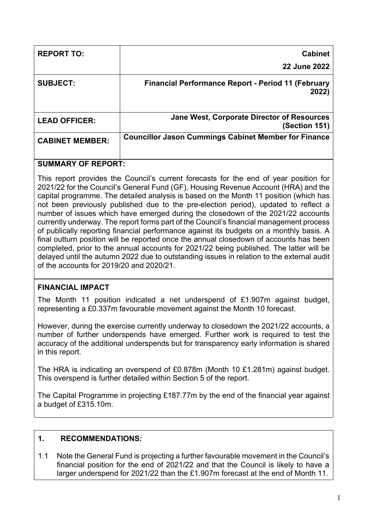| <b>REPORT TO:</b>      | <b>Cabinet</b><br><b>22 June 2022</b>                              |
|------------------------|--------------------------------------------------------------------|
| <b>SUBJECT:</b>        | <b>Financial Performance Report - Period 11 (February</b><br>2022) |
| <b>LEAD OFFICER:</b>   | Jane West, Corporate Director of Resources<br>(Section 151)        |
| <b>CABINET MEMBER:</b> | <b>Councillor Jason Cummings Cabinet Member for Finance</b>        |

## **SUMMARY OF REPORT:**

This report provides the Council's current forecasts for the end of year position for 2021/22 for the Council's General Fund (GF), Housing Revenue Account (HRA) and the capital programme. The detailed analysis is based on the Month 11 position (which has not been previously published due to the pre-election period), updated to reflect a number of issues which have emerged during the closedown of the 2021/22 accounts currently underway. The report forms part of the Council's financial management process of publically reporting financial performance against its budgets on a monthly basis. A final outturn position will be reported once the annual closedown of accounts has been completed, prior to the annual accounts for 2021/22 being published. The latter will be delayed until the autumn 2022 due to outstanding issues in relation to the external audit of the accounts for 2019/20 and 2020/21.

# **FINANCIAL IMPACT**

The Month 11 position indicated a net underspend of £1.907m against budget, representing a £0.337m favourable movement against the Month 10 forecast.

However, during the exercise currently underway to closedown the 2021/22 accounts, a number of further underspends have emerged. Further work is required to test the accuracy of the additional underspends but for transparency early information is shared in this report.

The HRA is indicating an overspend of £0.878m (Month 10 £1.281m) against budget. This overspend is further detailed within Section 5 of the report.

The Capital Programme in projecting £187.77m by the end of the financial year against a budget of £315.10m.

# **1. RECOMMENDATIONS:**

1.1 Note the General Fund is projecting a further favourable movement in the Council's financial position for the end of 2021/22 and that the Council is likely to have a larger underspend for 2021/22 than the £1.907m forecast at the end of Month 11.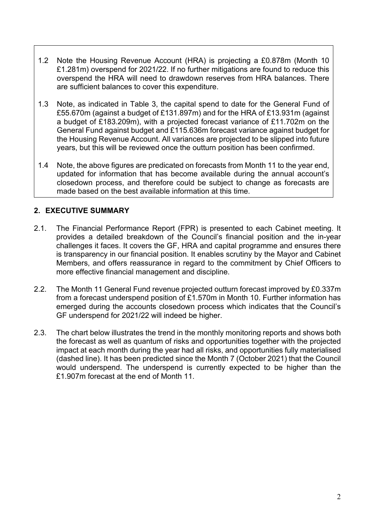- 1.2 Note the Housing Revenue Account (HRA) is projecting a £0.878m (Month 10 £1.281m) overspend for 2021/22. If no further mitigations are found to reduce this overspend the HRA will need to drawdown reserves from HRA balances. There are sufficient balances to cover this expenditure.
- 1.3 Note, as indicated in Table 3, the capital spend to date for the General Fund of £55.670m (against a budget of £131.897m) and for the HRA of £13.931m (against a budget of £183.209m), with a projected forecast variance of £11.702m on the General Fund against budget and £115.636m forecast variance against budget for the Housing Revenue Account. All variances are projected to be slipped into future years, but this will be reviewed once the outturn position has been confirmed.
- 1.4 Note, the above figures are predicated on forecasts from Month 11 to the year end, updated for information that has become available during the annual account's closedown process, and therefore could be subject to change as forecasts are made based on the best available information at this time.

## **2. EXECUTIVE SUMMARY**

- 2.1. The Financial Performance Report (FPR) is presented to each Cabinet meeting. It provides a detailed breakdown of the Council's financial position and the in-year challenges it faces. It covers the GF, HRA and capital programme and ensures there is transparency in our financial position. It enables scrutiny by the Mayor and Cabinet Members, and offers reassurance in regard to the commitment by Chief Officers to more effective financial management and discipline.
- 2.2. The Month 11 General Fund revenue projected outturn forecast improved by £0.337m from a forecast underspend position of £1.570m in Month 10. Further information has emerged during the accounts closedown process which indicates that the Council's GF underspend for 2021/22 will indeed be higher.
- 2.3. The chart below illustrates the trend in the monthly monitoring reports and shows both the forecast as well as quantum of risks and opportunities together with the projected impact at each month during the year had all risks, and opportunities fully materialised (dashed line). It has been predicted since the Month 7 (October 2021) that the Council would underspend. The underspend is currently expected to be higher than the £1.907m forecast at the end of Month 11.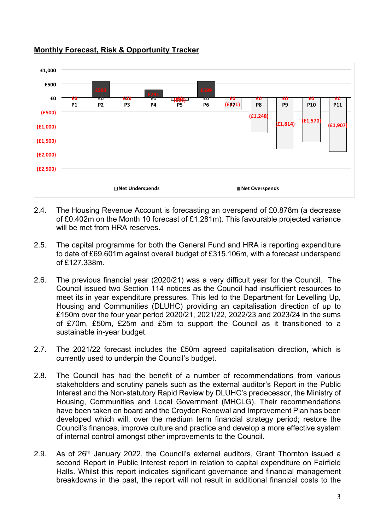

### **Monthly Forecast, Risk & Opportunity Tracker**

- 2.4. The Housing Revenue Account is forecasting an overspend of £0.878m (a decrease of £0.402m on the Month 10 forecast of £1.281m). This favourable projected variance will be met from HRA reserves.
- 2.5. The capital programme for both the General Fund and HRA is reporting expenditure to date of £69.601m against overall budget of £315.106m, with a forecast underspend of £127.338m.
- 2.6. The previous financial year (2020/21) was a very difficult year for the Council. The Council issued two Section 114 notices as the Council had insufficient resources to meet its in year expenditure pressures. This led to the Department for Levelling Up, Housing and Communities (DLUHC) providing an capitalisation direction of up to £150m over the four year period 2020/21, 2021/22, 2022/23 and 2023/24 in the sums of £70m, £50m, £25m and £5m to support the Council as it transitioned to a sustainable in-year budget.
- 2.7. The 2021/22 forecast includes the £50m agreed capitalisation direction, which is currently used to underpin the Council's budget.
- 2.8. The Council has had the benefit of a number of recommendations from various stakeholders and scrutiny panels such as the external auditor's Report in the Public Interest and the Non-statutory Rapid Review by DLUHC's predecessor, the Ministry of Housing, Communities and Local Government (MHCLG). Their recommendations have been taken on board and the Croydon Renewal and Improvement Plan has been developed which will, over the medium term financial strategy period; restore the Council's finances, improve culture and practice and develop a more effective system of internal control amongst other improvements to the Council.
- 2.9. As of  $26<sup>th</sup>$  January 2022, the Council's external auditors, Grant Thornton issued a second Report in Public Interest report in relation to capital expenditure on Fairfield Halls. Whilst this report indicates significant governance and financial management breakdowns in the past, the report will not result in additional financial costs to the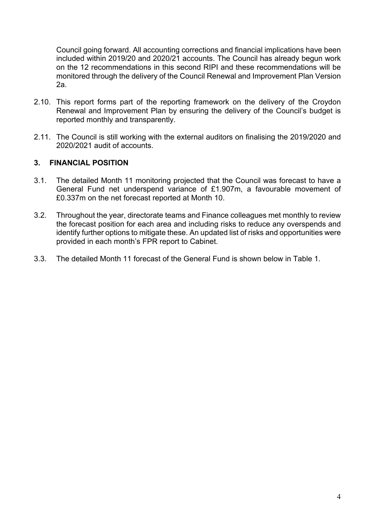Council going forward. All accounting corrections and financial implications have been included within 2019/20 and 2020/21 accounts. The Council has already begun work on the 12 recommendations in this second RIPI and these recommendations will be monitored through the delivery of the Council Renewal and Improvement Plan Version 2a.

- 2.10. This report forms part of the reporting framework on the delivery of the Croydon Renewal and Improvement Plan by ensuring the delivery of the Council's budget is reported monthly and transparently.
- 2.11. The Council is still working with the external auditors on finalising the 2019/2020 and 2020/2021 audit of accounts.

### **3. FINANCIAL POSITION**

- 3.1. The detailed Month 11 monitoring projected that the Council was forecast to have a General Fund net underspend variance of £1.907m, a favourable movement of £0.337m on the net forecast reported at Month 10.
- 3.2. Throughout the year, directorate teams and Finance colleagues met monthly to review the forecast position for each area and including risks to reduce any overspends and identify further options to mitigate these. An updated list of risks and opportunities were provided in each month's FPR report to Cabinet.
- 3.3. The detailed Month 11 forecast of the General Fund is shown below in Table 1.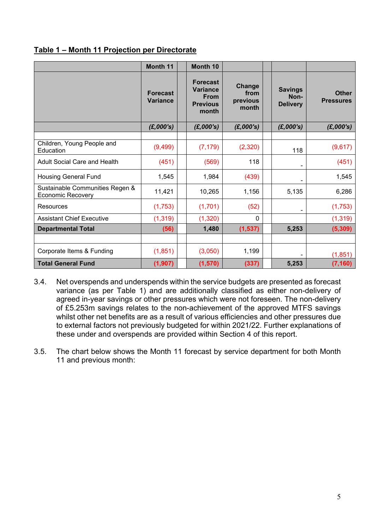|                                                             | Month 11                           | Month 10                                                                      |                                     |                                           |                                  |
|-------------------------------------------------------------|------------------------------------|-------------------------------------------------------------------------------|-------------------------------------|-------------------------------------------|----------------------------------|
|                                                             | <b>Forecast</b><br><b>Variance</b> | <b>Forecast</b><br><b>Variance</b><br><b>From</b><br><b>Previous</b><br>month | Change<br>from<br>previous<br>month | <b>Savings</b><br>Non-<br><b>Delivery</b> | <b>Other</b><br><b>Pressures</b> |
|                                                             | (E,000's)                          | (E,000's)                                                                     | (E,000's)                           | (E,000's)                                 | (E,000's)                        |
| Children, Young People and<br>Education                     | (9,499)                            | (7, 179)                                                                      | (2,320)                             | 118                                       | (9,617)                          |
| <b>Adult Social Care and Health</b>                         | (451)                              | (569)                                                                         | 118                                 |                                           | (451)                            |
| <b>Housing General Fund</b>                                 | 1,545                              | 1,984                                                                         | (439)                               | -                                         | 1,545                            |
| Sustainable Communities Regen &<br><b>Economic Recovery</b> | 11,421                             | 10,265                                                                        | 1,156                               | 5,135                                     | 6,286                            |
| Resources                                                   | (1,753)                            | (1,701)                                                                       | (52)                                |                                           | (1,753)                          |
| <b>Assistant Chief Executive</b>                            | (1, 319)                           | (1,320)                                                                       | $\Omega$                            |                                           | (1, 319)                         |
| <b>Departmental Total</b>                                   | (56)                               | 1,480                                                                         | (1, 537)                            | 5,253                                     | (5, 309)                         |
|                                                             |                                    |                                                                               |                                     |                                           |                                  |
| Corporate Items & Funding                                   | (1,851)                            | (3,050)                                                                       | 1,199                               |                                           | (1, 851)                         |
| <b>Total General Fund</b>                                   | (1, 907)                           | (1, 570)                                                                      | (337)                               | 5,253                                     | (7, 160)                         |

### **Table 1 – Month 11 Projection per Directorate**

- 3.4. Net overspends and underspends within the service budgets are presented as forecast variance (as per Table 1) and are additionally classified as either non-delivery of agreed in-year savings or other pressures which were not foreseen. The non-delivery of £5.253m savings relates to the non-achievement of the approved MTFS savings whilst other net benefits are as a result of various efficiencies and other pressures due to external factors not previously budgeted for within 2021/22. Further explanations of these under and overspends are provided within Section 4 of this report.
- 3.5. The chart below shows the Month 11 forecast by service department for both Month 11 and previous month: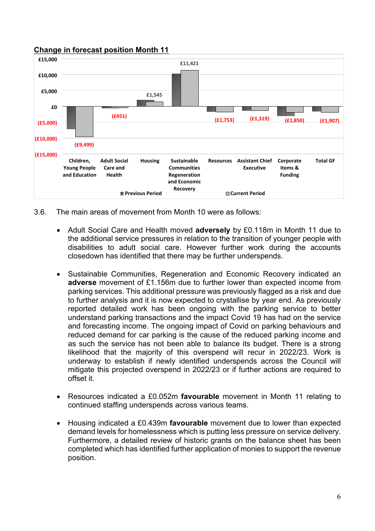### **Change in forecast position Month 11**



- 3.6. The main areas of movement from Month 10 were as follows:
	- Adult Social Care and Health moved **adversely** by £0.118m in Month 11 due to the additional service pressures in relation to the transition of younger people with disabilities to adult social care. However further work during the accounts closedown has identified that there may be further underspends.
	- Sustainable Communities, Regeneration and Economic Recovery indicated an **adverse** movement of £1.156m due to further lower than expected income from parking services. This additional pressure was previously flagged as a risk and due to further analysis and it is now expected to crystallise by year end. As previously reported detailed work has been ongoing with the parking service to better understand parking transactions and the impact Covid 19 has had on the service and forecasting income. The ongoing impact of Covid on parking behaviours and reduced demand for car parking is the cause of the reduced parking income and as such the service has not been able to balance its budget. There is a strong likelihood that the majority of this overspend will recur in 2022/23. Work is underway to establish if newly identified underspends across the Council will mitigate this projected overspend in 2022/23 or if further actions are required to offset it.
	- Resources indicated a £0.052m **favourable** movement in Month 11 relating to continued staffing underspends across various teams.
	- Housing indicated a £0.439m **favourable** movement due to lower than expected demand levels for homelessness which is putting less pressure on service delivery. Furthermore, a detailed review of historic grants on the balance sheet has been completed which has identified further application of monies to support the revenue position.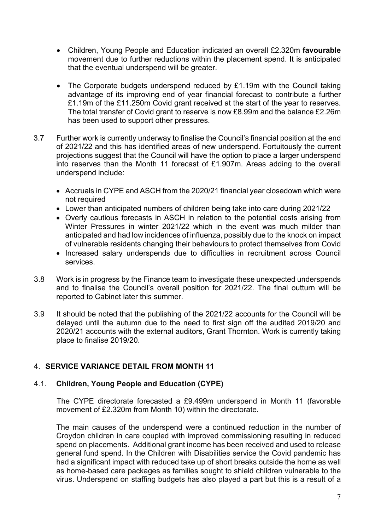- Children, Young People and Education indicated an overall £2.320m **favourable** movement due to further reductions within the placement spend. It is anticipated that the eventual underspend will be greater.
- The Corporate budgets underspend reduced by £1.19m with the Council taking advantage of its improving end of year financial forecast to contribute a further £1.19m of the £11.250m Covid grant received at the start of the year to reserves. The total transfer of Covid grant to reserve is now £8.99m and the balance £2.26m has been used to support other pressures.
- 3.7 Further work is currently underway to finalise the Council's financial position at the end of 2021/22 and this has identified areas of new underspend. Fortuitously the current projections suggest that the Council will have the option to place a larger underspend into reserves than the Month 11 forecast of £1.907m. Areas adding to the overall underspend include:
	- Accruals in CYPE and ASCH from the 2020/21 financial year closedown which were not required
	- Lower than anticipated numbers of children being take into care during 2021/22
	- Overly cautious forecasts in ASCH in relation to the potential costs arising from Winter Pressures in winter 2021/22 which in the event was much milder than anticipated and had low incidences of influenza, possibly due to the knock on impact of vulnerable residents changing their behaviours to protect themselves from Covid
	- Increased salary underspends due to difficulties in recruitment across Council services.
- 3.8 Work is in progress by the Finance team to investigate these unexpected underspends and to finalise the Council's overall position for 2021/22. The final outturn will be reported to Cabinet later this summer.
- 3.9 It should be noted that the publishing of the 2021/22 accounts for the Council will be delayed until the autumn due to the need to first sign off the audited 2019/20 and 2020/21 accounts with the external auditors, Grant Thornton. Work is currently taking place to finalise 2019/20.

## 4. **SERVICE VARIANCE DETAIL FROM MONTH 11**

## 4.1. **Children, Young People and Education (CYPE)**

The CYPE directorate forecasted a £9.499m underspend in Month 11 (favorable movement of £2.320m from Month 10) within the directorate.

The main causes of the underspend were a continued reduction in the number of Croydon children in care coupled with improved commissioning resulting in reduced spend on placements. Additional grant income has been received and used to release general fund spend. In the Children with Disabilities service the Covid pandemic has had a significant impact with reduced take up of short breaks outside the home as well as home-based care packages as families sought to shield children vulnerable to the virus. Underspend on staffing budgets has also played a part but this is a result of a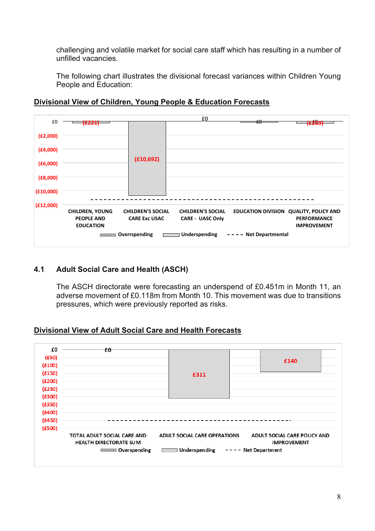challenging and volatile market for social care staff which has resulting in a number of unfilled vacancies.

The following chart illustrates the divisional forecast variances within Children Young People and Education:



### **Divisional View of Children, Young People & Education Forecasts**

## **4.1 Adult Social Care and Health (ASCH)**

The ASCH directorate were forecasting an underspend of £0.451m in Month 11, an adverse movement of £0.118m from Month 10. This movement was due to transitions pressures, which were previously reported as risks.

## **Divisional View of Adult Social Care and Health Forecasts**

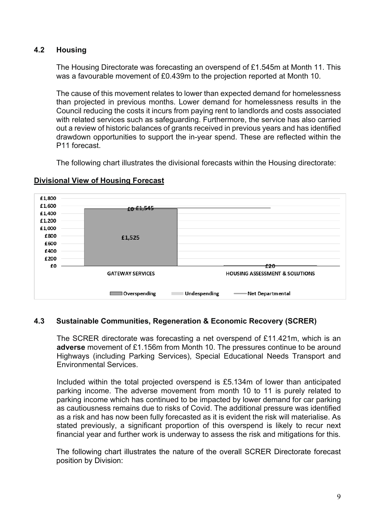## **4.2 Housing**

The Housing Directorate was forecasting an overspend of £1.545m at Month 11. This was a favourable movement of £0.439m to the projection reported at Month 10.

The cause of this movement relates to lower than expected demand for homelessness than projected in previous months. Lower demand for homelessness results in the Council reducing the costs it incurs from paying rent to landlords and costs associated with related services such as safeguarding. Furthermore, the service has also carried out a review of historic balances of grants received in previous years and has identified drawdown opportunities to support the in-year spend. These are reflected within the P11 forecast.

The following chart illustrates the divisional forecasts within the Housing directorate:



## **Divisional View of Housing Forecast**

## **4.3 Sustainable Communities, Regeneration & Economic Recovery (SCRER)**

The SCRER directorate was forecasting a net overspend of £11.421m, which is an **adverse** movement of £1.156m from Month 10. The pressures continue to be around Highways (including Parking Services), Special Educational Needs Transport and Environmental Services.

Included within the total projected overspend is £5.134m of lower than anticipated parking income. The adverse movement from month 10 to 11 is purely related to parking income which has continued to be impacted by lower demand for car parking as cautiousness remains due to risks of Covid. The additional pressure was identified as a risk and has now been fully forecasted as it is evident the risk will materialise. As stated previously, a significant proportion of this overspend is likely to recur next financial year and further work is underway to assess the risk and mitigations for this.

The following chart illustrates the nature of the overall SCRER Directorate forecast position by Division: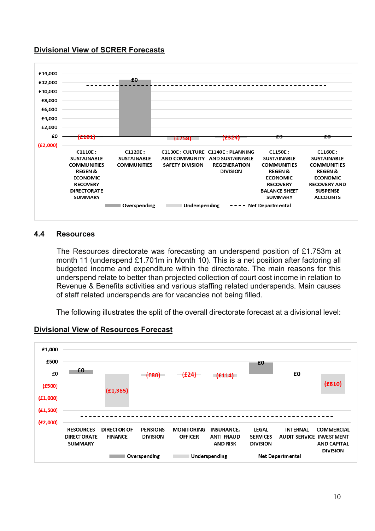## **Divisional View of SCRER Forecasts**



#### **4.4 Resources**

The Resources directorate was forecasting an underspend position of £1.753m at month 11 (underspend £1.701m in Month 10). This is a net position after factoring all budgeted income and expenditure within the directorate. The main reasons for this underspend relate to better than projected collection of court cost income in relation to Revenue & Benefits activities and various staffing related underspends. Main causes of staff related underspends are for vacancies not being filled.

The following illustrates the split of the overall directorate forecast at a divisional level:



# **Divisional View of Resources Forecast**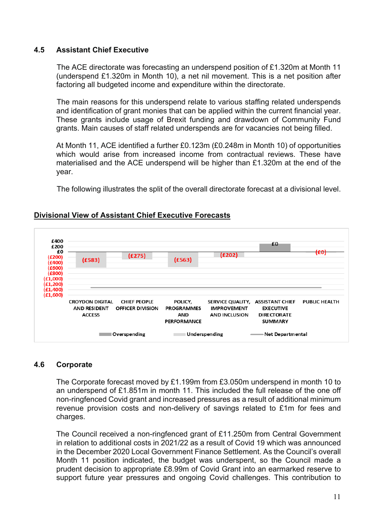### **4.5 Assistant Chief Executive**

The ACE directorate was forecasting an underspend position of £1.320m at Month 11 (underspend £1.320m in Month 10), a net nil movement. This is a net position after factoring all budgeted income and expenditure within the directorate.

The main reasons for this underspend relate to various staffing related underspends and identification of grant monies that can be applied within the current financial year. These grants include usage of Brexit funding and drawdown of Community Fund grants. Main causes of staff related underspends are for vacancies not being filled.

At Month 11, ACE identified a further £0.123m (£0.248m in Month 10) of opportunities which would arise from increased income from contractual reviews. These have materialised and the ACE underspend will be higher than £1.320m at the end of the year.

The following illustrates the split of the overall directorate forecast at a divisional level.



### **Divisional View of Assistant Chief Executive Forecasts**

#### **4.6 Corporate**

The Corporate forecast moved by £1.199m from £3.050m underspend in month 10 to an underspend of £1.851m in month 11. This included the full release of the one off non-ringfenced Covid grant and increased pressures as a result of additional minimum revenue provision costs and non-delivery of savings related to £1m for fees and charges.

The Council received a non-ringfenced grant of £11.250m from Central Government in relation to additional costs in 2021/22 as a result of Covid 19 which was announced in the December 2020 Local Government Finance Settlement. As the Council's overall Month 11 position indicated, the budget was underspent, so the Council made a prudent decision to appropriate £8.99m of Covid Grant into an earmarked reserve to support future year pressures and ongoing Covid challenges. This contribution to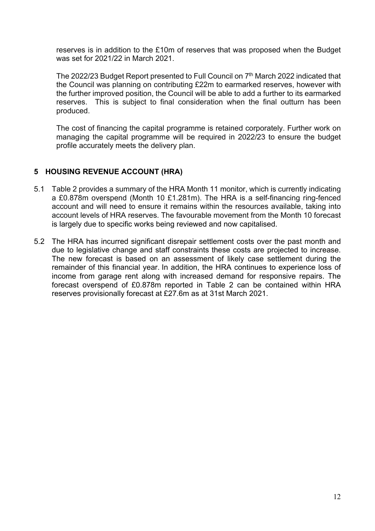reserves is in addition to the £10m of reserves that was proposed when the Budget was set for 2021/22 in March 2021.

The 2022/23 Budget Report presented to Full Council on 7<sup>th</sup> March 2022 indicated that the Council was planning on contributing £22m to earmarked reserves, however with the further improved position, the Council will be able to add a further to its earmarked reserves. This is subject to final consideration when the final outturn has been produced.

The cost of financing the capital programme is retained corporately. Further work on managing the capital programme will be required in 2022/23 to ensure the budget profile accurately meets the delivery plan.

## **5 HOUSING REVENUE ACCOUNT (HRA)**

- 5.1 Table 2 provides a summary of the HRA Month 11 monitor, which is currently indicating a £0.878m overspend (Month 10 £1.281m). The HRA is a self-financing ring-fenced account and will need to ensure it remains within the resources available, taking into account levels of HRA reserves. The favourable movement from the Month 10 forecast is largely due to specific works being reviewed and now capitalised.
- 5.2 The HRA has incurred significant disrepair settlement costs over the past month and due to legislative change and staff constraints these costs are projected to increase. The new forecast is based on an assessment of likely case settlement during the remainder of this financial year. In addition, the HRA continues to experience loss of income from garage rent along with increased demand for responsive repairs. The forecast overspend of £0.878m reported in Table 2 can be contained within HRA reserves provisionally forecast at £27.6m as at 31st March 2021.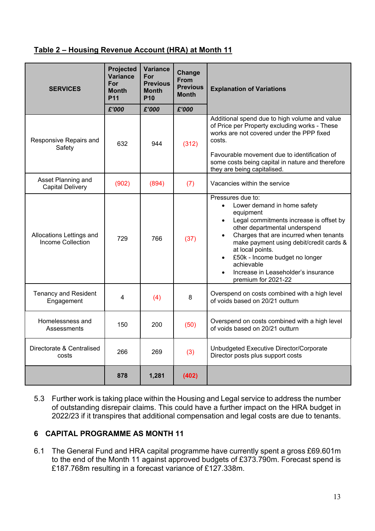## **Table 2 – Housing Revenue Account (HRA) at Month 11**

| <b>SERVICES</b>                                      | Projected<br><b>Variance</b><br>For<br><b>Month</b><br><b>P11</b> | <b>Variance</b><br>For<br><b>Previous</b><br><b>Month</b><br><b>P10</b> | Change<br><b>From</b><br><b>Previous</b><br><b>Month</b> | <b>Explanation of Variations</b>                                                                                                                                                                                                                                                                                                                                                                                     |
|------------------------------------------------------|-------------------------------------------------------------------|-------------------------------------------------------------------------|----------------------------------------------------------|----------------------------------------------------------------------------------------------------------------------------------------------------------------------------------------------------------------------------------------------------------------------------------------------------------------------------------------------------------------------------------------------------------------------|
|                                                      | £'000                                                             | £'000                                                                   | £'000                                                    |                                                                                                                                                                                                                                                                                                                                                                                                                      |
| Responsive Repairs and<br>Safety                     | 632                                                               | 944                                                                     | (312)                                                    | Additional spend due to high volume and value<br>of Price per Property excluding works - These<br>works are not covered under the PPP fixed<br>costs.<br>Favourable movement due to identification of<br>some costs being capital in nature and therefore<br>they are being capitalised.                                                                                                                             |
| Asset Planning and<br><b>Capital Delivery</b>        | (902)                                                             | (894)                                                                   | (7)                                                      | Vacancies within the service                                                                                                                                                                                                                                                                                                                                                                                         |
| Allocations Lettings and<br><b>Income Collection</b> | 729                                                               | 766                                                                     | (37)                                                     | Pressures due to:<br>Lower demand in home safety<br>$\bullet$<br>equipment<br>Legal commitments increase is offset by<br>$\bullet$<br>other departmental underspend<br>Charges that are incurred when tenants<br>$\bullet$<br>make payment using debit/credit cards &<br>at local points.<br>£50k - Income budget no longer<br>$\bullet$<br>achievable<br>Increase in Leaseholder's insurance<br>premium for 2021-22 |
| <b>Tenancy and Resident</b><br>Engagement            | 4                                                                 | (4)                                                                     | 8                                                        | Overspend on costs combined with a high level<br>of voids based on 20/21 outturn                                                                                                                                                                                                                                                                                                                                     |
| Homelessness and<br>Assessments                      | 150                                                               | 200                                                                     | (50)                                                     | Overspend on costs combined with a high level<br>of voids based on 20/21 outturn                                                                                                                                                                                                                                                                                                                                     |
| Directorate & Centralised<br>costs                   | 266                                                               | 269                                                                     | (3)                                                      | Unbudgeted Executive Director/Corporate<br>Director posts plus support costs                                                                                                                                                                                                                                                                                                                                         |
|                                                      | 878                                                               | 1,281                                                                   | (402)                                                    |                                                                                                                                                                                                                                                                                                                                                                                                                      |

5.3 Further work is taking place within the Housing and Legal service to address the number of outstanding disrepair claims. This could have a further impact on the HRA budget in 2022/23 if it transpires that additional compensation and legal costs are due to tenants.

# **6 CAPITAL PROGRAMME AS MONTH 11**

6.1 The General Fund and HRA capital programme have currently spent a gross £69.601m to the end of the Month 11 against approved budgets of £373.790m. Forecast spend is £187.768m resulting in a forecast variance of £127.338m.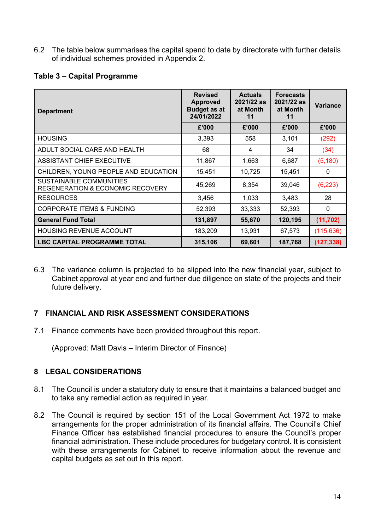6.2 The table below summarises the capital spend to date by directorate with further details of individual schemes provided in Appendix 2.

## **Table 3 – Capital Programme**

| <b>Department</b>                                                      | <b>Revised</b><br><b>Approved</b><br><b>Budget as at</b><br>24/01/2022 | <b>Actuals</b><br>2021/22 as<br>at Month<br>11 | <b>Forecasts</b><br>2021/22 as<br>at Month<br>11 | <b>Variance</b> |
|------------------------------------------------------------------------|------------------------------------------------------------------------|------------------------------------------------|--------------------------------------------------|-----------------|
|                                                                        | £'000                                                                  | £'000                                          | £'000                                            | £'000           |
| <b>HOUSING</b>                                                         | 3,393                                                                  | 558                                            | 3,101                                            | (292)           |
| ADULT SOCIAL CARE AND HEALTH                                           | 68                                                                     | 4                                              | 34                                               | (34)            |
| ASSISTANT CHIEF EXECUTIVE                                              | 11,867                                                                 | 1,663                                          | 6,687                                            | (5, 180)        |
| CHILDREN, YOUNG PEOPLE AND EDUCATION                                   | 15,451                                                                 | 10,725                                         | 15,451                                           | 0               |
| SUSTAINABLE COMMUNITIES<br><b>REGENERATION &amp; ECONOMIC RECOVERY</b> | 45,269                                                                 | 8,354                                          | 39,046                                           | (6, 223)        |
| <b>RESOURCES</b>                                                       | 3,456                                                                  | 1,033                                          | 3,483                                            | 28              |
| <b>CORPORATE ITEMS &amp; FUNDING</b>                                   | 52,393                                                                 | 33,333                                         | 52,393                                           | $\Omega$        |
| <b>General Fund Total</b>                                              | 131,897                                                                | 55,670                                         | 120,195                                          | (11, 702)       |
| HOUSING REVENUE ACCOUNT                                                | 183,209                                                                | 13,931                                         | 67,573                                           | (115, 636)      |
| <b>LBC CAPITAL PROGRAMME TOTAL</b>                                     | 315,106                                                                | 69,601                                         | 187,768                                          | (127, 338)      |

6.3 The variance column is projected to be slipped into the new financial year, subject to Cabinet approval at year end and further due diligence on state of the projects and their future delivery.

# **7 FINANCIAL AND RISK ASSESSMENT CONSIDERATIONS**

7.1 Finance comments have been provided throughout this report.

(Approved: Matt Davis – Interim Director of Finance)

# **8 LEGAL CONSIDERATIONS**

- 8.1 The Council is under a statutory duty to ensure that it maintains a balanced budget and to take any remedial action as required in year.
- 8.2 The Council is required by section 151 of the Local Government Act 1972 to make arrangements for the proper administration of its financial affairs. The Council's Chief Finance Officer has established financial procedures to ensure the Council's proper financial administration. These include procedures for budgetary control. It is consistent with these arrangements for Cabinet to receive information about the revenue and capital budgets as set out in this report.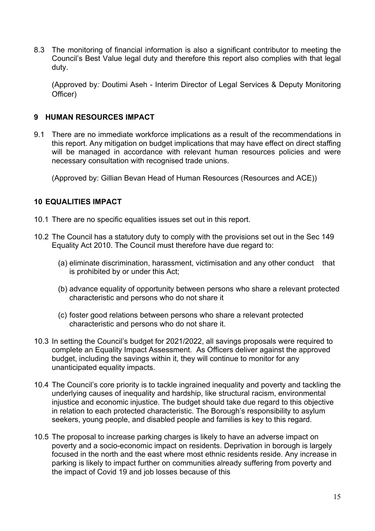8.3 The monitoring of financial information is also a significant contributor to meeting the Council's Best Value legal duty and therefore this report also complies with that legal duty.

(Approved by*:* Doutimi Aseh - Interim Director of Legal Services & Deputy Monitoring Officer)

### **9 HUMAN RESOURCES IMPACT**

9.1 There are no immediate workforce implications as a result of the recommendations in this report. Any mitigation on budget implications that may have effect on direct staffing will be managed in accordance with relevant human resources policies and were necessary consultation with recognised trade unions.

(Approved by: Gillian Bevan Head of Human Resources (Resources and ACE))

### **10 EQUALITIES IMPACT**

- 10.1 There are no specific equalities issues set out in this report.
- 10.2 The Council has a statutory duty to comply with the provisions set out in the Sec 149 Equality Act 2010. The Council must therefore have due regard to:
	- (a) eliminate discrimination, harassment, victimisation and any other conduct that is prohibited by or under this Act;
	- (b) advance equality of opportunity between persons who share a relevant protected characteristic and persons who do not share it
	- (c) foster good relations between persons who share a relevant protected characteristic and persons who do not share it.
- 10.3 In setting the Council's budget for 2021/2022, all savings proposals were required to complete an Equality Impact Assessment. As Officers deliver against the approved budget, including the savings within it, they will continue to monitor for any unanticipated equality impacts.
- 10.4 The Council's core priority is to tackle ingrained inequality and poverty and tackling the underlying causes of inequality and hardship, like structural racism, environmental injustice and economic injustice. The budget should take due regard to this objective in relation to each protected characteristic. The Borough's responsibility to asylum seekers, young people, and disabled people and families is key to this regard.
- 10.5 The proposal to increase parking charges is likely to have an adverse impact on poverty and a socio-economic impact on residents. Deprivation in borough is largely focused in the north and the east where most ethnic residents reside. Any increase in parking is likely to impact further on communities already suffering from poverty and the impact of Covid 19 and job losses because of this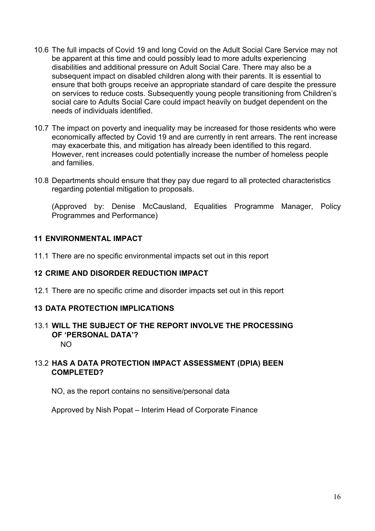- 10.6 The full impacts of Covid 19 and long Covid on the Adult Social Care Service may not be apparent at this time and could possibly lead to more adults experiencing disabilities and additional pressure on Adult Social Care. There may also be a subsequent impact on disabled children along with their parents. It is essential to ensure that both groups receive an appropriate standard of care despite the pressure on services to reduce costs. Subsequently young people transitioning from Children's social care to Adults Social Care could impact heavily on budget dependent on the needs of individuals identified.
- 10.7 The impact on poverty and inequality may be increased for those residents who were economically affected by Covid 19 and are currently in rent arrears. The rent increase may exacerbate this, and mitigation has already been identified to this regard. However, rent increases could potentially increase the number of homeless people and families.
- 10.8 Departments should ensure that they pay due regard to all protected characteristics regarding potential mitigation to proposals.

(Approved by: Denise McCausland, Equalities Programme Manager, Policy Programmes and Performance)

## **11 ENVIRONMENTAL IMPACT**

11.1 There are no specific environmental impacts set out in this report

## **12 CRIME AND DISORDER REDUCTION IMPACT**

12.1 There are no specific crime and disorder impacts set out in this report

## **13 DATA PROTECTION IMPLICATIONS**

13.1 **WILL THE SUBJECT OF THE REPORT INVOLVE THE PROCESSING OF 'PERSONAL DATA'?** NO

## 13.2 **HAS A DATA PROTECTION IMPACT ASSESSMENT (DPIA) BEEN COMPLETED?**

NO, as the report contains no sensitive/personal data

Approved by Nish Popat – Interim Head of Corporate Finance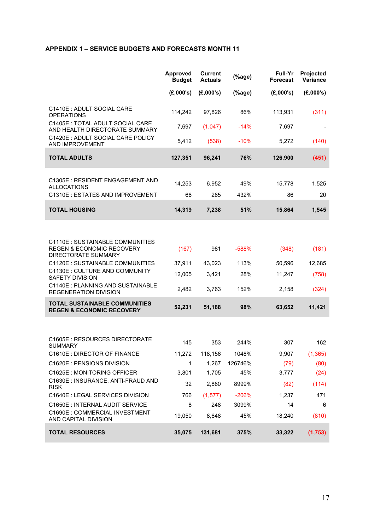#### **APPENDIX 1 – SERVICE BUDGETS AND FORECASTS MONTH 11**

|                                                                                                 | Approved<br><b>Budget</b> | <b>Current</b><br><b>Actuals</b> | (%      | Full-Yr<br><b>Forecast</b> | Projected<br>Variance |
|-------------------------------------------------------------------------------------------------|---------------------------|----------------------------------|---------|----------------------------|-----------------------|
|                                                                                                 | (E,000's)                 | (E,000's)                        | (%      | (E,000's)                  | (E,000's)             |
| C1410E : ADULT SOCIAL CARE<br><b>OPERATIONS</b>                                                 | 114,242                   | 97,826                           | 86%     | 113,931                    | (311)                 |
| C1405E : TOTAL ADULT SOCIAL CARE<br>AND HEALTH DIRECTORATE SUMMARY                              | 7,697                     | (1,047)                          | $-14%$  | 7,697                      |                       |
| C1420E : ADULT SOCIAL CARE POLICY<br>AND IMPROVEMENT                                            | 5,412                     | (538)                            | $-10%$  | 5,272                      | (140)                 |
| <b>TOTAL ADULTS</b>                                                                             | 127,351                   | 96,241                           | 76%     | 126,900                    | (451)                 |
| C1305E: RESIDENT ENGAGEMENT AND                                                                 |                           |                                  |         |                            |                       |
| <b>ALLOCATIONS</b>                                                                              | 14,253                    | 6,952                            | 49%     | 15,778                     | 1,525                 |
| C1310E : ESTATES AND IMPROVEMENT                                                                | 66                        | 285                              | 432%    | 86                         | 20                    |
| <b>TOTAL HOUSING</b>                                                                            | 14,319                    | 7,238                            | 51%     | 15,864                     | 1,545                 |
|                                                                                                 |                           |                                  |         |                            |                       |
| C1110E : SUSTAINABLE COMMUNITIES<br><b>REGEN &amp; ECONOMIC RECOVERY</b><br>DIRECTORATE SUMMARY | (167)                     | 981                              | -588%   | (348)                      | (181)                 |
| C1120E : SUSTAINABLE COMMUNITIES                                                                | 37,911                    | 43,023                           | 113%    | 50,596                     | 12,685                |
| C1130E : CULTURE AND COMMUNITY<br><b>SAFETY DIVISION</b>                                        | 12,005                    | 3,421                            | 28%     | 11,247                     | (758)                 |
| C1140E: PLANNING AND SUSTAINABLE<br><b>REGENERATION DIVISION</b>                                | 2,482                     | 3,763                            | 152%    | 2,158                      | (324)                 |
| <b>TOTAL SUSTAINABLE COMMUNITIES</b><br><b>REGEN &amp; ECONOMIC RECOVERY</b>                    | 52,231                    | 51,188                           | 98%     | 63,652                     | 11,421                |
|                                                                                                 |                           |                                  |         |                            |                       |
| C1605E: RESOURCES DIRECTORATE<br>SUMMARY                                                        | 145                       | 353                              | 244%    | 307                        | 162                   |
| C1610E : DIRECTOR OF FINANCE                                                                    | 11,272                    | 118,156                          | 1048%   | 9,907                      | (1, 365)              |
| C1620E : PENSIONS DIVISION                                                                      | 1                         | 1,267                            | 126746% | (79)                       | (80)                  |
| C1625E: MONITORING OFFICER                                                                      | 3,801                     | 1,705                            | 45%     | 3,777                      | (24)                  |
| C1630E : INSURANCE, ANTI-FRAUD AND<br><b>RISK</b>                                               | 32                        | 2,880                            | 8999%   | (82)                       | (114)                 |
| C1640E : LEGAL SERVICES DIVISION                                                                | 766                       | (1, 577)                         | $-206%$ | 1,237                      | 471                   |
| C1650E : INTERNAL AUDIT SERVICE                                                                 | 8                         | 248                              | 3099%   | 14                         | 6                     |
| C1690E : COMMERCIAL INVESTMENT<br>AND CAPITAL DIVISION                                          | 19,050                    | 8,648                            | 45%     | 18,240                     | (810)                 |
| <b>TOTAL RESOURCES</b>                                                                          | 35,075                    | 131,681                          | 375%    | 33,322                     | (1,753)               |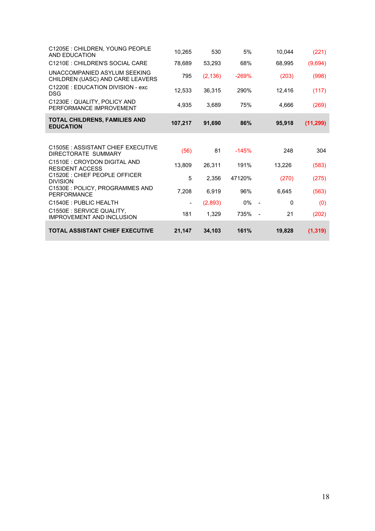| C1205E: CHILDREN, YOUNG PEOPLE<br>AND EDUCATION                  | 10,265  | 530      | 5%      | 10,044 | (221)     |
|------------------------------------------------------------------|---------|----------|---------|--------|-----------|
| C1210E : CHILDREN'S SOCIAL CARE                                  | 78,689  | 53,293   | 68%     | 68,995 | (9,694)   |
| UNACCOMPANIED ASYLUM SEEKING<br>CHILDREN (UASC) AND CARE LEAVERS | 795     | (2, 136) | $-269%$ | (203)  | (998)     |
| C1220E : EDUCATION DIVISION - exc<br><b>DSG</b>                  | 12,533  | 36,315   | 290%    | 12,416 | (117)     |
| C1230E : QUALITY, POLICY AND<br>PERFORMANCE IMPROVEMENT          | 4,935   | 3,689    | 75%     | 4,666  | (269)     |
| <b>TOTAL CHILDRENS, FAMILIES AND</b><br><b>EDUCATION</b>         | 107,217 | 91,690   | 86%     | 95,918 | (11, 299) |
|                                                                  |         |          |         |        |           |
| C1505E: ASSISTANT CHIEF EXECUTIVE<br>DIRECTORATE SUMMARY         | (56)    | 81       | $-145%$ | 248    | 304       |
| C1510E : CROYDON DIGITAL AND<br><b>RESIDENT ACCESS</b>           | 13,809  | 26,311   | 191%    | 13,226 | (583)     |
| C1520E : CHIEF PEOPLE OFFICER<br><b>DIVISION</b>                 | 5       | 2,356    | 47120%  | (270)  | (275)     |
| C1530E : POLICY, PROGRAMMES AND<br>PERFORMANCE                   | 7,208   | 6,919    | 96%     | 6,645  | (563)     |
| C1540E: PUBLIC HEALTH                                            |         | (2,893)  | 0%      | 0      | (0)       |
| C1550E : SERVICE QUALITY,<br><b>IMPROVEMENT AND INCLUSION</b>    | 181     | 1,329    | 735%    | 21     | (202)     |
| <b>TOTAL ASSISTANT CHIEF EXECUTIVE</b>                           | 21,147  | 34,103   | 161%    | 19,828 | (1, 319)  |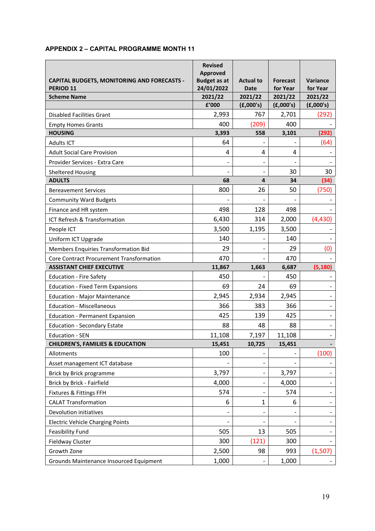#### **APPENDIX 2 – CAPITAL PROGRAMME MONTH 11**

|                                                                            | <b>Revised</b><br>Approved        |                                 |                             |                             |
|----------------------------------------------------------------------------|-----------------------------------|---------------------------------|-----------------------------|-----------------------------|
| <b>CAPITAL BUDGETS, MONITORING AND FORECASTS -</b><br>PERIOD <sub>11</sub> | <b>Budget as at</b><br>24/01/2022 | <b>Actual to</b><br><b>Date</b> | <b>Forecast</b><br>for Year | <b>Variance</b><br>for Year |
| <b>Scheme Name</b>                                                         | 2021/22                           | 2021/22                         | 2021/22                     | 2021/22                     |
|                                                                            | £'000                             | (E,000's)                       | (E,000's)                   | (E,000's)                   |
| <b>Disabled Facilities Grant</b>                                           | 2,993                             | 767                             | 2,701                       | (292)                       |
| <b>Empty Homes Grants</b>                                                  | 400                               | (209)                           | 400                         |                             |
| <b>HOUSING</b>                                                             | 3,393                             | 558                             | 3,101                       | (292)                       |
| <b>Adults ICT</b>                                                          | 64                                |                                 |                             | (64)                        |
| <b>Adult Social Care Provision</b>                                         | 4                                 | 4                               | 4                           |                             |
| Provider Services - Extra Care                                             |                                   | $\overline{\phantom{a}}$        |                             |                             |
| <b>Sheltered Housing</b>                                                   |                                   | $\overline{\phantom{a}}$        | 30                          | 30                          |
| <b>ADULTS</b>                                                              | 68                                | 4                               | 34                          | (34)                        |
| <b>Bereavement Services</b>                                                | 800                               | 26                              | 50                          | (750)                       |
| <b>Community Ward Budgets</b>                                              |                                   |                                 |                             |                             |
| Finance and HR system                                                      | 498                               | 128                             | 498                         |                             |
| ICT Refresh & Transformation                                               | 6,430                             | 314                             | 2,000                       | (4,430)                     |
| People ICT                                                                 | 3,500                             | 1,195                           | 3,500                       |                             |
| Uniform ICT Upgrade                                                        | 140                               |                                 | 140                         |                             |
| Members Enquiries Transformation Bid                                       | 29                                |                                 | 29                          | (0)                         |
| Core Contract Procurement Transformation                                   | 470                               |                                 | 470                         |                             |
| <b>ASSISTANT CHIEF EXECUTIVE</b>                                           | 11,867                            | 1,663                           | 6,687                       | (5, 180)                    |
| <b>Education - Fire Safety</b>                                             | 450                               |                                 | 450                         |                             |
| <b>Education - Fixed Term Expansions</b>                                   | 69                                | 24                              | 69                          |                             |
| <b>Education - Major Maintenance</b>                                       | 2,945                             | 2,934                           | 2,945                       |                             |
| <b>Education - Miscellaneous</b>                                           | 366                               | 383                             | 366                         |                             |
| <b>Education - Permanent Expansion</b>                                     | 425                               | 139                             | 425                         | $\overline{\phantom{a}}$    |
| <b>Education - Secondary Estate</b>                                        | 88                                | 48                              | 88                          |                             |
| <b>Education - SEN</b>                                                     | 11,108                            | 7,197                           | 11,108                      |                             |
| <b>CHILDREN'S, FAMILIES &amp; EDUCATION</b>                                | 15,451                            | 10,725                          | 15,451                      |                             |
| Allotments                                                                 | 100                               |                                 |                             | (100)                       |
| Asset management ICT database                                              |                                   | $\overline{\phantom{a}}$        |                             |                             |
| Brick by Brick programme                                                   | 3,797                             |                                 | 3,797                       |                             |
| Brick by Brick - Fairfield                                                 | 4,000                             | $\qquad \qquad \blacksquare$    | 4,000                       |                             |
| Fixtures & Fittings FFH                                                    | 574                               |                                 | 574                         |                             |
| <b>CALAT Transformation</b>                                                | 6                                 | $\mathbf{1}$                    | 6                           |                             |
| Devolution initiatives                                                     |                                   |                                 |                             |                             |
| <b>Electric Vehicle Charging Points</b>                                    |                                   |                                 |                             |                             |
| <b>Feasibility Fund</b>                                                    | 505                               | 13                              | 505                         |                             |
| Fieldway Cluster                                                           | 300                               | (121)                           | 300                         |                             |
| Growth Zone                                                                | 2,500                             | 98                              | 993                         | (1,507)                     |
| Grounds Maintenance Insourced Equipment                                    | 1,000                             |                                 | 1,000                       |                             |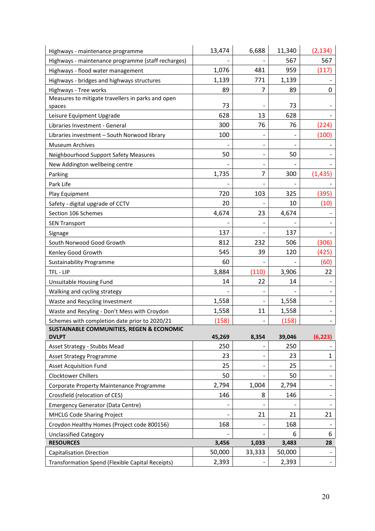| Highways - maintenance programme                        | 13,474 | 6,688                        | 11,340          | (2, 134)    |
|---------------------------------------------------------|--------|------------------------------|-----------------|-------------|
| Highways - maintenance programme (staff recharges)      |        |                              | 567             | 567         |
| Highways - flood water management                       | 1,076  | 481                          | 959             | (117)       |
| Highways - bridges and highways structures              | 1,139  | 771                          | 1,139           |             |
| Highways - Tree works                                   | 89     | 7                            | 89              | 0           |
| Measures to mitigate travellers in parks and open       |        |                              |                 |             |
| spaces                                                  | 73     |                              | 73              |             |
| Leisure Equipment Upgrade                               | 628    | 13                           | 628             |             |
| Libraries Investment - General                          | 300    | 76                           | 76              | (224)       |
| Libraries investment - South Norwood library            | 100    |                              |                 | (100)       |
| <b>Museum Archives</b>                                  |        | $\overline{\phantom{a}}$     |                 |             |
| Neighbourhood Support Safety Measures                   | 50     | $\overline{\phantom{a}}$     | 50              |             |
| New Addington wellbeing centre                          |        |                              |                 |             |
| Parking                                                 | 1,735  | 7                            | 300             | (1, 435)    |
| Park Life                                               |        |                              |                 |             |
| Play Equipment                                          | 720    | 103                          | 325             | (395)       |
| Safety - digital upgrade of CCTV                        | 20     |                              | 10              | (10)        |
| Section 106 Schemes                                     | 4,674  | 23                           | 4,674           |             |
| <b>SEN Transport</b>                                    |        |                              |                 |             |
| Signage                                                 | 137    |                              | 137             |             |
| South Norwood Good Growth                               | 812    | 232                          | 506             | (306)       |
| Kenley Good Growth                                      | 545    | 39                           | 120             | (425)       |
| <b>Sustainability Programme</b>                         | 60     |                              |                 | (60)        |
| TFL-LIP                                                 | 3,884  | (110)                        | 3,906           | 22          |
| Unsuitable Housing Fund                                 | 14     | 22                           | 14              |             |
| Walking and cycling strategy                            |        |                              |                 |             |
| Waste and Recycling Investment                          | 1,558  |                              | 1,558           |             |
| Waste and Recyling - Don't Mess with Croydon            | 1,558  | 11                           | 1,558           |             |
| Schemes with completion date prior to 2020/21           | (158)  |                              | (158)           |             |
| <b>SUSTAINABLE COMMUNITIES, REGEN &amp; ECONOMIC</b>    |        |                              |                 |             |
| <b>DVLPT</b>                                            | 45,269 | 8,354                        | 39,046          | (6, 223)    |
| Asset Strategy - Stubbs Mead                            | 250    | -                            | 250             |             |
| <b>Asset Strategy Programme</b>                         | 23     | -                            | 23              | $\mathbf 1$ |
| <b>Asset Acquisition Fund</b>                           | 25     |                              | 25              |             |
| <b>Clocktower Chillers</b>                              | 50     |                              | 50              | -           |
| Corporate Property Maintenance Programme                | 2,794  | 1,004                        | 2,794           |             |
| Crossfield (relocation of CES)                          | 146    | 8                            | 146             |             |
| <b>Emergency Generator (Data Centre)</b>                |        |                              |                 |             |
| <b>MHCLG Code Sharing Project</b>                       |        | 21                           | 21              | 21          |
| Croydon Healthy Homes (Project code 800156)             | 168    | $\qquad \qquad \blacksquare$ | 168             |             |
| <b>Unclassified Category</b><br><b>RESOURCES</b>        | 3,456  |                              | 6               | 6<br>28     |
| <b>Capitalisation Direction</b>                         | 50,000 | 1,033<br>33,333              | 3,483<br>50,000 |             |
|                                                         |        |                              |                 |             |
| <b>Transformation Spend (Flexible Capital Receipts)</b> | 2,393  |                              | 2,393           | ۰.          |